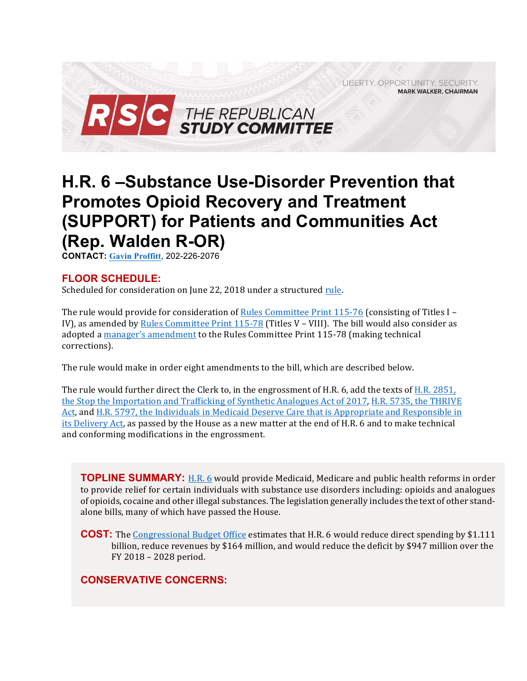LIBERTY, OPPORTUNITY, SECURITY, **MARK WALKER, CHAIRMAN** 



# **H.R. 6 –Substance Use-Disorder Prevention that Promotes Opioid Recovery and Treatment (SUPPORT) for Patients and Communities Act (Rep. Walden R-OR)**

**CONTACT: Gavin Proffitt**, 202-226-2076

### **FLOOR SCHEDULE:**

Scheduled for consideration on June 22, 2018 under a structured rule.

The rule would provide for consideration of Rules Committee Print  $115-76$  (consisting of Titles I -IV), as amended by Rules Committee Print  $115-78$  (Titles V – VIII). The bill would also consider as adopted a manager's amendment to the Rules Committee Print 115-78 (making technical corrections). 

The rule would make in order eight amendments to the bill, which are described below.

The rule would further direct the Clerk to, in the engrossment of H.R. 6, add the texts of H.R. 2851, the Stop the Importation and Trafficking of Synthetic Analogues Act of 2017, H.R. 5735, the THRIVE Act, and H.R. 5797, the Individuals in Medicaid Deserve Care that is Appropriate and Responsible in its Delivery Act, as passed by the House as a new matter at the end of H.R. 6 and to make technical and conforming modifications in the engrossment.

**TOPLINE SUMMARY:** H.R. 6 would provide Medicaid, Medicare and public health reforms in order to provide relief for certain individuals with substance use disorders including: opioids and analogues of opioids, cocaine and other illegal substances. The legislation generally includes the text of other standalone bills, many of which have passed the House.

**COST:** The Congressional Budget Office estimates that H.R. 6 would reduce direct spending by \$1.111 billion, reduce revenues by \$164 million, and would reduce the deficit by \$947 million over the FY 2018 - 2028 period.

### **CONSERVATIVE CONCERNS:**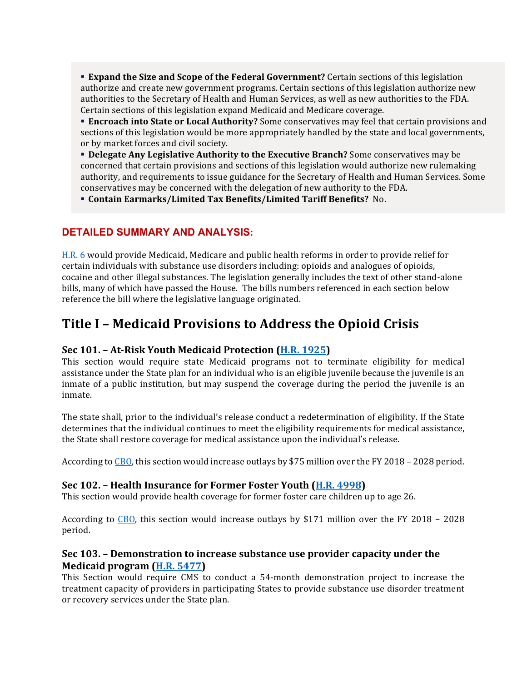**Expand the Size and Scope of the Federal Government?** Certain sections of this legislation authorize and create new government programs. Certain sections of this legislation authorize new authorities to the Secretary of Health and Human Services, as well as new authorities to the FDA. Certain sections of this legislation expand Medicaid and Medicare coverage.

**Encroach into State or Local Authority?** Some conservatives may feel that certain provisions and sections of this legislation would be more appropriately handled by the state and local governments, or by market forces and civil society.

**• Delegate Any Legislative Authority to the Executive Branch?** Some conservatives may be concerned that certain provisions and sections of this legislation would authorize new rulemaking authority, and requirements to issue guidance for the Secretary of Health and Human Services. Some conservatives may be concerned with the delegation of new authority to the FDA.

**• Contain Earmarks/Limited Tax Benefits/Limited Tariff Benefits?** No.

### **DETAILED SUMMARY AND ANALYSIS:**

H.R. 6 would provide Medicaid, Medicare and public health reforms in order to provide relief for certain individuals with substance use disorders including: opioids and analogues of opioids, cocaine and other illegal substances. The legislation generally includes the text of other stand-alone bills, many of which have passed the House. The bills numbers referenced in each section below reference the bill where the legislative language originated.

## Title I - Medicaid Provisions to Address the Opioid Crisis

### **Sec 101.** - At-Risk Youth Medicaid Protection (H.R. 1925)

This section would require state Medicaid programs not to terminate eligibility for medical assistance under the State plan for an individual who is an eligible juvenile because the juvenile is an inmate of a public institution, but may suspend the coverage during the period the juvenile is an inmate.

The state shall, prior to the individual's release conduct a redetermination of eligibility. If the State determines that the individual continues to meet the eligibility requirements for medical assistance, the State shall restore coverage for medical assistance upon the individual's release.

According to CBO, this section would increase outlays by \$75 million over the FY 2018 – 2028 period.

### **Sec 102. – Health Insurance for Former Foster Youth (H.R. 4998)**

This section would provide health coverage for former foster care children up to age 26.

According to  $\underline{CBO}$ , this section would increase outlays by \$171 million over the FY 2018 – 2028 period. 

### **Sec 103.** – Demonstration to increase substance use provider capacity under the **Medicaid program (H.R. 5477)**

This Section would require CMS to conduct a 54-month demonstration project to increase the treatment capacity of providers in participating States to provide substance use disorder treatment or recovery services under the State plan.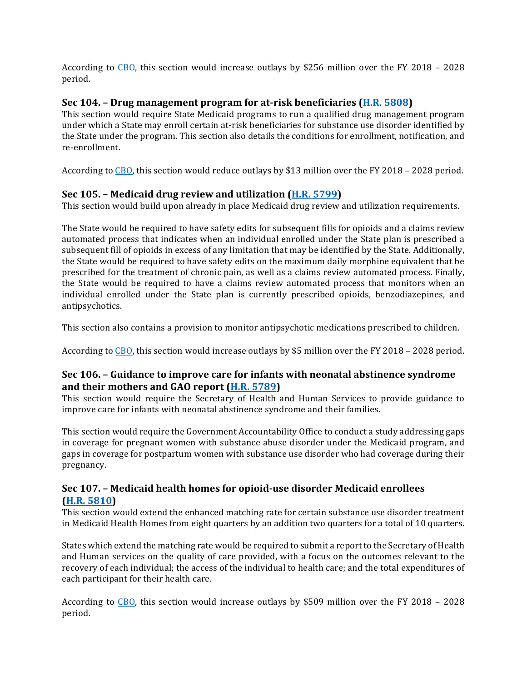According to CBO, this section would increase outlays by \$256 million over the FY 2018 – 2028 period. 

### **Sec 104.** – Drug management program for at-risk beneficiaries (H.R. 5808)

This section would require State Medicaid programs to run a qualified drug management program under which a State may enroll certain at-risk beneficiaries for substance use disorder identified by the State under the program. This section also details the conditions for enrollment, notification, and re-enrollment.

According to CBO, this section would reduce outlays by \$13 million over the FY 2018 - 2028 period.

### **Sec 105.** – Medicaid drug review and utilization (**H.R. 5799**)

This section would build upon already in place Medicaid drug review and utilization requirements.

The State would be required to have safety edits for subsequent fills for opioids and a claims review automated process that indicates when an individual enrolled under the State plan is prescribed a subsequent fill of opioids in excess of any limitation that may be identified by the State. Additionally, the State would be required to have safety edits on the maximum daily morphine equivalent that be prescribed for the treatment of chronic pain, as well as a claims review automated process. Finally, the State would be required to have a claims review automated process that monitors when an individual enrolled under the State plan is currently prescribed opioids, benzodiazepines, and antipsychotics. 

This section also contains a provision to monitor antipsychotic medications prescribed to children.

According to  $\text{CBO}$ , this section would increase outlays by \$5 million over the FY 2018 – 2028 period.

### **Sec 106.** – Guidance to improve care for infants with neonatal abstinence syndrome and their mothers and GAO report (H.R. 5789)

This section would require the Secretary of Health and Human Services to provide guidance to improve care for infants with neonatal abstinence syndrome and their families.

This section would require the Government Accountability Office to conduct a study addressing gaps in coverage for pregnant women with substance abuse disorder under the Medicaid program, and gaps in coverage for postpartum women with substance use disorder who had coverage during their pregnancy. 

### **Sec 107. – Medicaid health homes for opioid-use disorder Medicaid enrollees (H.R. 5810)**

This section would extend the enhanced matching rate for certain substance use disorder treatment in Medicaid Health Homes from eight quarters by an addition two quarters for a total of 10 quarters.

States which extend the matching rate would be required to submit a report to the Secretary of Health and Human services on the quality of care provided, with a focus on the outcomes relevant to the recovery of each individual; the access of the individual to health care; and the total expenditures of each participant for their health care.

According to CBO, this section would increase outlays by \$509 million over the FY 2018 – 2028 period.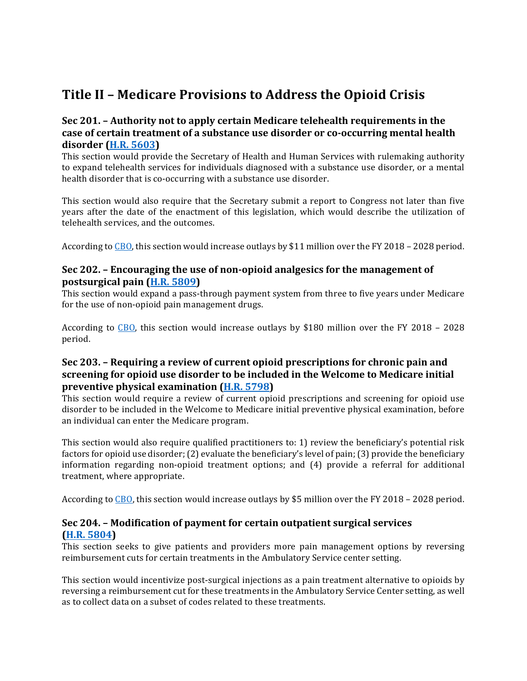# **Title II – Medicare Provisions to Address the Opioid Crisis**

### **Sec 201.** – Authority not to apply certain Medicare telehealth requirements in the case of certain treatment of a substance use disorder or co-occurring mental health **disorder (H.R. 5603)**

This section would provide the Secretary of Health and Human Services with rulemaking authority to expand telehealth services for individuals diagnosed with a substance use disorder, or a mental health disorder that is co-occurring with a substance use disorder.

This section would also require that the Secretary submit a report to Congress not later than five years after the date of the enactment of this legislation, which would describe the utilization of telehealth services, and the outcomes.

According to  $\overline{CD}$ , this section would increase outlays by \$11 million over the FY 2018 – 2028 period.

### **Sec 202.** – Encouraging the use of non-opioid analgesics for the management of **postsurgical pain (H.R. 5809)**

This section would expand a pass-through payment system from three to five years under Medicare for the use of non-opioid pain management drugs.

According to CBO, this section would increase outlays by \$180 million over the FY 2018 – 2028 period. 

### **Sec 203.** – Requiring a review of current opioid prescriptions for chronic pain and screening for opioid use disorder to be included in the Welcome to Medicare initial **preventive physical examination (H.R. 5798)**

This section would require a review of current opioid prescriptions and screening for opioid use disorder to be included in the Welcome to Medicare initial preventive physical examination, before an individual can enter the Medicare program.

This section would also require qualified practitioners to: 1) review the beneficiary's potential risk factors for opioid use disorder; (2) evaluate the beneficiary's level of pain; (3) provide the beneficiary information regarding non-opioid treatment options; and  $(4)$  provide a referral for additional treatment, where appropriate.

According to CBO, this section would increase outlays by \$5 million over the FY 2018 – 2028 period.

### Sec 204. - Modification of payment for certain outpatient surgical services **(H.R. 5804)**

This section seeks to give patients and providers more pain management options by reversing reimbursement cuts for certain treatments in the Ambulatory Service center setting.

This section would incentivize post-surgical injections as a pain treatment alternative to opioids by reversing a reimbursement cut for these treatments in the Ambulatory Service Center setting, as well as to collect data on a subset of codes related to these treatments.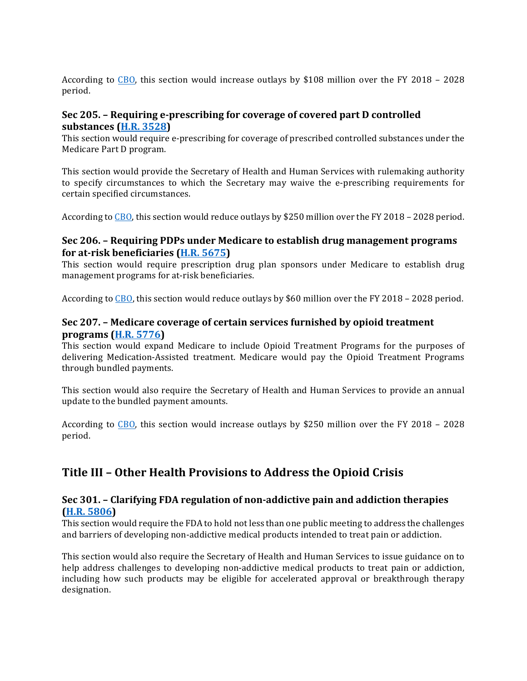According to  $CBO$ , this section would increase outlays by \$108 million over the FY 2018 - 2028 period. 

### **Sec 205.** – Requiring e-prescribing for coverage of covered part D controlled **substances (H.R. 3528)**

This section would require e-prescribing for coverage of prescribed controlled substances under the Medicare Part D program.

This section would provide the Secretary of Health and Human Services with rulemaking authority to specify circumstances to which the Secretary may waive the e-prescribing requirements for certain specified circumstances.

According to CBO, this section would reduce outlays by \$250 million over the FY 2018 - 2028 period.

### **Sec 206.** – Requiring PDPs under Medicare to establish drug management programs **for at-risk beneficiaries (H.R. 5675)**

This section would require prescription drug plan sponsors under Medicare to establish drug management programs for at-risk beneficiaries.

According to  $\text{CBO}$ , this section would reduce outlays by \$60 million over the FY 2018 – 2028 period.

### **Sec 207.** – Medicare coverage of certain services furnished by opioid treatment **programs (H.R. 5776)**

This section would expand Medicare to include Opioid Treatment Programs for the purposes of delivering Medication-Assisted treatment. Medicare would pay the Opioid Treatment Programs through bundled payments.

This section would also require the Secretary of Health and Human Services to provide an annual update to the bundled payment amounts.

According to CBO, this section would increase outlays by \$250 million over the FY 2018 – 2028 period. 

### **Title III - Other Health Provisions to Address the Opioid Crisis**

### **Sec 301.** – Clarifying FDA regulation of non-addictive pain and addiction therapies **(H.R. 5806)**

This section would require the FDA to hold not less than one public meeting to address the challenges and barriers of developing non-addictive medical products intended to treat pain or addiction.

This section would also require the Secretary of Health and Human Services to issue guidance on to help address challenges to developing non-addictive medical products to treat pain or addiction, including how such products may be eligible for accelerated approval or breakthrough therapy designation.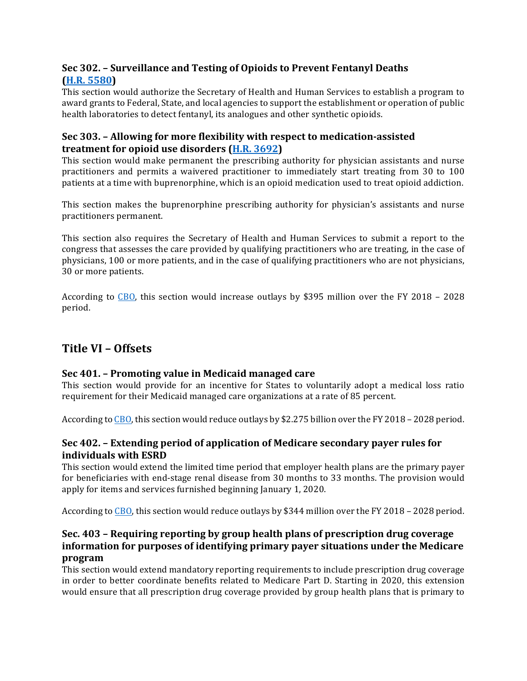### **Sec 302. – Surveillance and Testing of Opioids to Prevent Fentanyl Deaths (H.R. 5580)**

This section would authorize the Secretary of Health and Human Services to establish a program to award grants to Federal, State, and local agencies to support the establishment or operation of public health laboratories to detect fentanyl, its analogues and other synthetic opioids.

### **Sec 303.** - Allowing for more flexibility with respect to medication-assisted **treatment for opioid use disorders (H.R. 3692)**

This section would make permanent the prescribing authority for physician assistants and nurse practitioners and permits a waivered practitioner to immediately start treating from 30 to 100 patients at a time with buprenorphine, which is an opioid medication used to treat opioid addiction.

This section makes the buprenorphine prescribing authority for physician's assistants and nurse practitioners permanent.

This section also requires the Secretary of Health and Human Services to submit a report to the congress that assesses the care provided by qualifying practitioners who are treating, in the case of physicians, 100 or more patients, and in the case of qualifying practitioners who are not physicians, 30 or more patients.

According to  $\overline{CBO}$ , this section would increase outlays by \$395 million over the FY 2018 – 2028 period. 

### **Title VI – Offsets**

### **Sec 401.** – Promoting value in Medicaid managed care

This section would provide for an incentive for States to voluntarily adopt a medical loss ratio requirement for their Medicaid managed care organizations at a rate of 85 percent.

According to  $\text{CBO}$ , this section would reduce outlays by \$2.275 billion over the FY 2018 – 2028 period.

### **Sec 402.** – Extending period of application of Medicare secondary payer rules for **individuals with ESRD**

This section would extend the limited time period that employer health plans are the primary payer for beneficiaries with end-stage renal disease from 30 months to 33 months. The provision would apply for items and services furnished beginning January 1, 2020.

According to CBO, this section would reduce outlays by \$344 million over the FY 2018 - 2028 period.

### **Sec. 403 - Requiring reporting by group health plans of prescription drug coverage information for purposes of identifying primary payer situations under the Medicare program**

This section would extend mandatory reporting requirements to include prescription drug coverage in order to better coordinate benefits related to Medicare Part D. Starting in 2020, this extension would ensure that all prescription drug coverage provided by group health plans that is primary to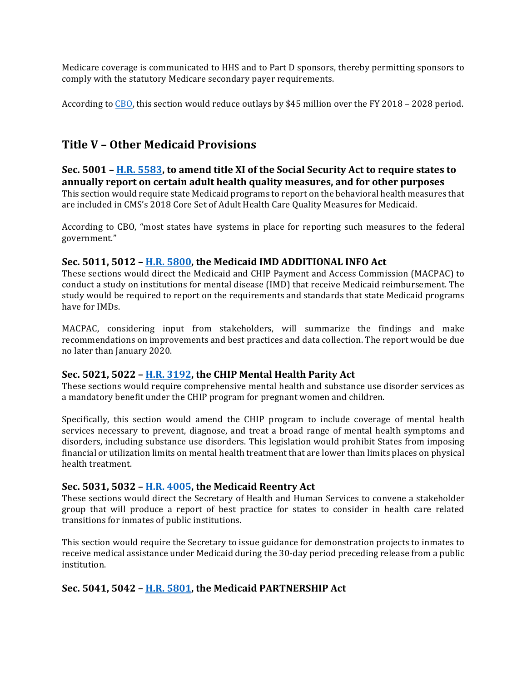Medicare coverage is communicated to HHS and to Part D sponsors, thereby permitting sponsors to comply with the statutory Medicare secondary payer requirements.

According to  $\underline{CBO}$ , this section would reduce outlays by \$45 million over the FY 2018 – 2028 period.

### **Title V – Other Medicaid Provisions**

### **Sec.** 5001 – **H.R.** 5583, to amend title XI of the Social Security Act to require states to **annually report on certain adult health quality measures, and for other purposes** This section would require state Medicaid programs to report on the behavioral health measures that are included in CMS's 2018 Core Set of Adult Health Care Quality Measures for Medicaid.

According to CBO, "most states have systems in place for reporting such measures to the federal government."

### **Sec. 5011, 5012 - H.R. 5800, the Medicaid IMD ADDITIONAL INFO Act**

These sections would direct the Medicaid and CHIP Payment and Access Commission (MACPAC) to conduct a study on institutions for mental disease (IMD) that receive Medicaid reimbursement. The study would be required to report on the requirements and standards that state Medicaid programs have for IMDs.

MACPAC, considering input from stakeholders, will summarize the findings and make recommendations on improvements and best practices and data collection. The report would be due no later than January 2020.

### **Sec. 5021, 5022 - H.R. 3192, the CHIP Mental Health Parity Act**

These sections would require comprehensive mental health and substance use disorder services as a mandatory benefit under the CHIP program for pregnant women and children.

Specifically, this section would amend the CHIP program to include coverage of mental health services necessary to prevent, diagnose, and treat a broad range of mental health symptoms and disorders, including substance use disorders. This legislation would prohibit States from imposing financial or utilization limits on mental health treatment that are lower than limits places on physical health treatment.

### **Sec. 5031, 5032 - <u>H.R. 4005</u>, the Medicaid Reentry Act**

These sections would direct the Secretary of Health and Human Services to convene a stakeholder group that will produce a report of best practice for states to consider in health care related transitions for inmates of public institutions.

This section would require the Secretary to issue guidance for demonstration projects to inmates to receive medical assistance under Medicaid during the 30-day period preceding release from a public institution.

### **Sec. 5041, 5042 - H.R. 5801, the Medicaid PARTNERSHIP Act**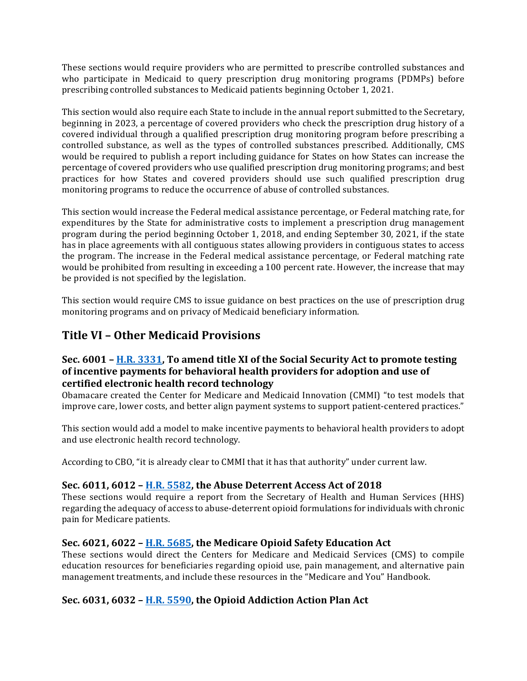These sections would require providers who are permitted to prescribe controlled substances and who participate in Medicaid to query prescription drug monitoring programs (PDMPs) before prescribing controlled substances to Medicaid patients beginning October 1, 2021.

This section would also require each State to include in the annual report submitted to the Secretary, beginning in 2023, a percentage of covered providers who check the prescription drug history of a covered individual through a qualified prescription drug monitoring program before prescribing a controlled substance, as well as the types of controlled substances prescribed. Additionally, CMS would be required to publish a report including guidance for States on how States can increase the percentage of covered providers who use qualified prescription drug monitoring programs; and best practices for how States and covered providers should use such qualified prescription drug monitoring programs to reduce the occurrence of abuse of controlled substances.

This section would increase the Federal medical assistance percentage, or Federal matching rate, for expenditures by the State for administrative costs to implement a prescription drug management program during the period beginning October 1, 2018, and ending September 30, 2021, if the state has in place agreements with all contiguous states allowing providers in contiguous states to access the program. The increase in the Federal medical assistance percentage, or Federal matching rate would be prohibited from resulting in exceeding a 100 percent rate. However, the increase that may be provided is not specified by the legislation.

This section would require CMS to issue guidance on best practices on the use of prescription drug monitoring programs and on privacy of Medicaid beneficiary information.

### **Title VI - Other Medicaid Provisions**

### **Sec.** 6001 – **H.R.** 3331, To amend title XI of the Social Security Act to promote testing of incentive payments for behavioral health providers for adoption and use of **certified electronic health record technology**

Obamacare created the Center for Medicare and Medicaid Innovation (CMMI) "to test models that improve care, lower costs, and better align payment systems to support patient-centered practices."

This section would add a model to make incentive payments to behavioral health providers to adopt and use electronic health record technology.

According to CBO, "it is already clear to CMMI that it has that authority" under current law.

### **Sec.** 6011, 6012 – H.R. 5582, the Abuse Deterrent Access Act of 2018

These sections would require a report from the Secretary of Health and Human Services (HHS) regarding the adequacy of access to abuse-deterrent opioid formulations for individuals with chronic pain for Medicare patients.

### **Sec.** 6021, 6022 – H.R. 5685, the Medicare Opioid Safety Education Act

These sections would direct the Centers for Medicare and Medicaid Services (CMS) to compile education resources for beneficiaries regarding opioid use, pain management, and alternative pain management treatments, and include these resources in the "Medicare and You" Handbook.

### **Sec.** 6031, 6032 – **H.R.** 5590, the Opioid Addiction Action Plan Act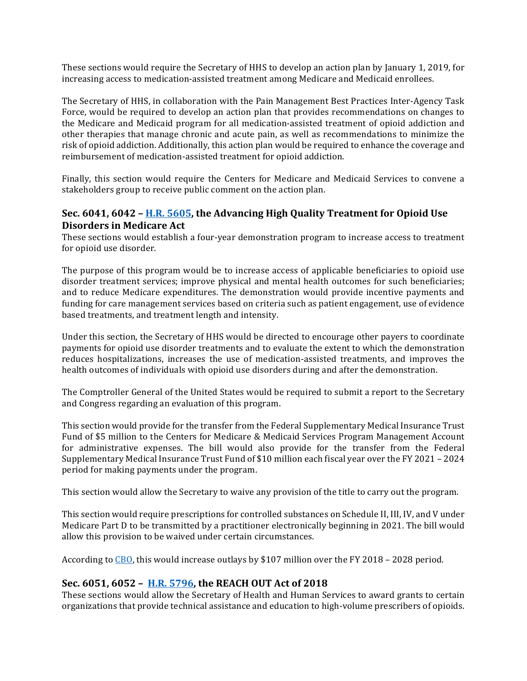These sections would require the Secretary of HHS to develop an action plan by January 1, 2019, for increasing access to medication-assisted treatment among Medicare and Medicaid enrollees.

The Secretary of HHS, in collaboration with the Pain Management Best Practices Inter-Agency Task Force, would be required to develop an action plan that provides recommendations on changes to the Medicare and Medicaid program for all medication-assisted treatment of opioid addiction and other therapies that manage chronic and acute pain, as well as recommendations to minimize the risk of opioid addiction. Additionally, this action plan would be required to enhance the coverage and reimbursement of medication-assisted treatment for opioid addiction.

Finally, this section would require the Centers for Medicare and Medicaid Services to convene a stakeholders group to receive public comment on the action plan.

### **Sec.** 6041, 6042 – H.R. 5605, the Advancing High Quality Treatment for Opioid Use **Disorders in Medicare Act**

These sections would establish a four-year demonstration program to increase access to treatment for opioid use disorder.

The purpose of this program would be to increase access of applicable beneficiaries to opioid use disorder treatment services; improve physical and mental health outcomes for such beneficiaries; and to reduce Medicare expenditures. The demonstration would provide incentive payments and funding for care management services based on criteria such as patient engagement, use of evidence based treatments, and treatment length and intensity.

Under this section, the Secretary of HHS would be directed to encourage other payers to coordinate payments for opioid use disorder treatments and to evaluate the extent to which the demonstration reduces hospitalizations, increases the use of medication-assisted treatments, and improves the health outcomes of individuals with opioid use disorders during and after the demonstration.

The Comptroller General of the United States would be required to submit a report to the Secretary and Congress regarding an evaluation of this program.

This section would provide for the transfer from the Federal Supplementary Medical Insurance Trust Fund of \$5 million to the Centers for Medicare & Medicaid Services Program Management Account for administrative expenses. The bill would also provide for the transfer from the Federal Supplementary Medical Insurance Trust Fund of \$10 million each fiscal year over the FY 2021 - 2024 period for making payments under the program.

This section would allow the Secretary to waive any provision of the title to carry out the program.

This section would require prescriptions for controlled substances on Schedule II, III, IV, and V under Medicare Part D to be transmitted by a practitioner electronically beginning in 2021. The bill would allow this provision to be waived under certain circumstances.

According to  $\underline{CBO}$ , this would increase outlays by \$107 million over the FY 2018 – 2028 period.

### **Sec.** 6051, 6052 – H.R. 5796, the REACH OUT Act of 2018

These sections would allow the Secretary of Health and Human Services to award grants to certain organizations that provide technical assistance and education to high-volume prescribers of opioids.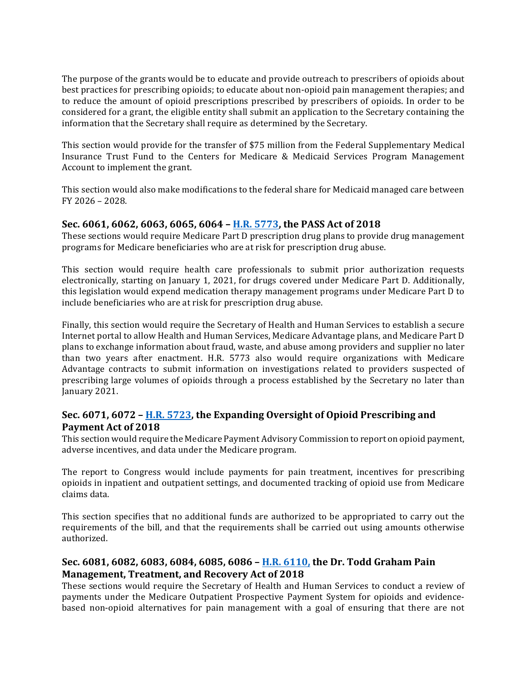The purpose of the grants would be to educate and provide outreach to prescribers of opioids about best practices for prescribing opioids; to educate about non-opioid pain management therapies; and to reduce the amount of opioid prescriptions prescribed by prescribers of opioids. In order to be considered for a grant, the eligible entity shall submit an application to the Secretary containing the information that the Secretary shall require as determined by the Secretary.

This section would provide for the transfer of \$75 million from the Federal Supplementary Medical Insurance Trust Fund to the Centers for Medicare & Medicaid Services Program Management Account to implement the grant.

This section would also make modifications to the federal share for Medicaid managed care between  $FY$  2026 - 2028.

#### Sec. 6061, 6062, 6063, 6065, 6064 - **H.R. 5773**, the PASS Act of 2018

These sections would require Medicare Part D prescription drug plans to provide drug management programs for Medicare beneficiaries who are at risk for prescription drug abuse.

This section would require health care professionals to submit prior authorization requests electronically, starting on January 1, 2021, for drugs covered under Medicare Part D. Additionally, this legislation would expend medication therapy management programs under Medicare Part D to include beneficiaries who are at risk for prescription drug abuse.

Finally, this section would require the Secretary of Health and Human Services to establish a secure Internet portal to allow Health and Human Services, Medicare Advantage plans, and Medicare Part D plans to exchange information about fraud, waste, and abuse among providers and supplier no later than two years after enactment. H.R. 5773 also would require organizations with Medicare Advantage contracts to submit information on investigations related to providers suspected of prescribing large volumes of opioids through a process established by the Secretary no later than January 2021.

### **Sec.** 6071, 6072 – **H.R.** 5723, the Expanding Oversight of Opioid Prescribing and Payment Act of 2018

This section would require the Medicare Payment Advisory Commission to report on opioid payment, adverse incentives, and data under the Medicare program.

The report to Congress would include payments for pain treatment, incentives for prescribing opioids in inpatient and outpatient settings, and documented tracking of opioid use from Medicare claims data. 

This section specifies that no additional funds are authorized to be appropriated to carry out the requirements of the bill, and that the requirements shall be carried out using amounts otherwise authorized.

### **Sec.** 6081, 6082, 6083, 6084, 6085, 6086 - **H.R.** 6110, the Dr. Todd Graham Pain **Management, Treatment, and Recovery Act of 2018**

These sections would require the Secretary of Health and Human Services to conduct a review of payments under the Medicare Outpatient Prospective Payment System for opioids and evidencebased non-opioid alternatives for pain management with a goal of ensuring that there are not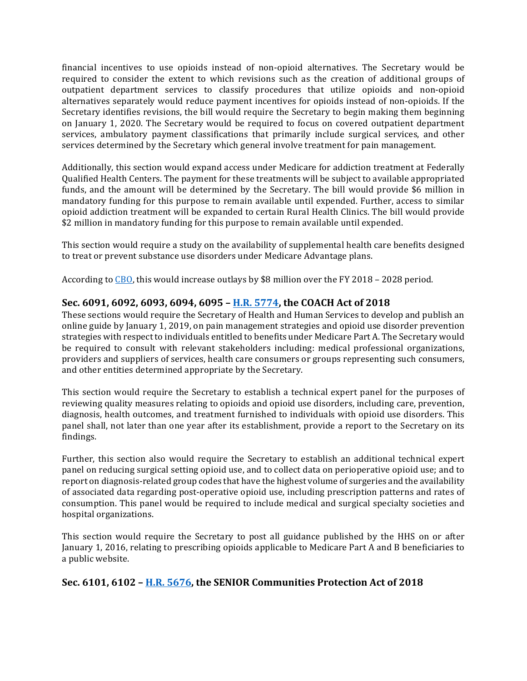financial incentives to use opioids instead of non-opioid alternatives. The Secretary would be required to consider the extent to which revisions such as the creation of additional groups of outpatient department services to classify procedures that utilize opioids and non-opioid alternatives separately would reduce payment incentives for opioids instead of non-opioids. If the Secretary identifies revisions, the bill would require the Secretary to begin making them beginning on January 1, 2020. The Secretary would be required to focus on covered outpatient department services, ambulatory payment classifications that primarily include surgical services, and other services determined by the Secretary which general involve treatment for pain management.

Additionally, this section would expand access under Medicare for addiction treatment at Federally Qualified Health Centers. The payment for these treatments will be subject to available appropriated funds, and the amount will be determined by the Secretary. The bill would provide \$6 million in mandatory funding for this purpose to remain available until expended. Further, access to similar opioid addiction treatment will be expanded to certain Rural Health Clinics. The bill would provide \$2 million in mandatory funding for this purpose to remain available until expended.

This section would require a study on the availability of supplemental health care benefits designed to treat or prevent substance use disorders under Medicare Advantage plans.

According to  $\underline{CBO}$ , this would increase outlays by \$8 million over the FY 2018 – 2028 period.

### **Sec.** 6091, 6092, 6093, 6094, 6095 - H.R. 5774, the COACH Act of 2018

These sections would require the Secretary of Health and Human Services to develop and publish an online guide by January 1, 2019, on pain management strategies and opioid use disorder prevention strategies with respect to individuals entitled to benefits under Medicare Part A. The Secretary would be required to consult with relevant stakeholders including: medical professional organizations, providers and suppliers of services, health care consumers or groups representing such consumers, and other entities determined appropriate by the Secretary.

This section would require the Secretary to establish a technical expert panel for the purposes of reviewing quality measures relating to opioids and opioid use disorders, including care, prevention, diagnosis, health outcomes, and treatment furnished to individuals with opioid use disorders. This panel shall, not later than one year after its establishment, provide a report to the Secretary on its findings.

Further, this section also would require the Secretary to establish an additional technical expert panel on reducing surgical setting opioid use, and to collect data on perioperative opioid use; and to report on diagnosis-related group codes that have the highest volume of surgeries and the availability of associated data regarding post-operative opioid use, including prescription patterns and rates of consumption. This panel would be required to include medical and surgical specialty societies and hospital organizations.

This section would require the Secretary to post all guidance published by the HHS on or after January 1, 2016, relating to prescribing opioids applicable to Medicare Part A and B beneficiaries to a public website.

### Sec. 6101, 6102 - H.R. 5676, the SENIOR Communities Protection Act of 2018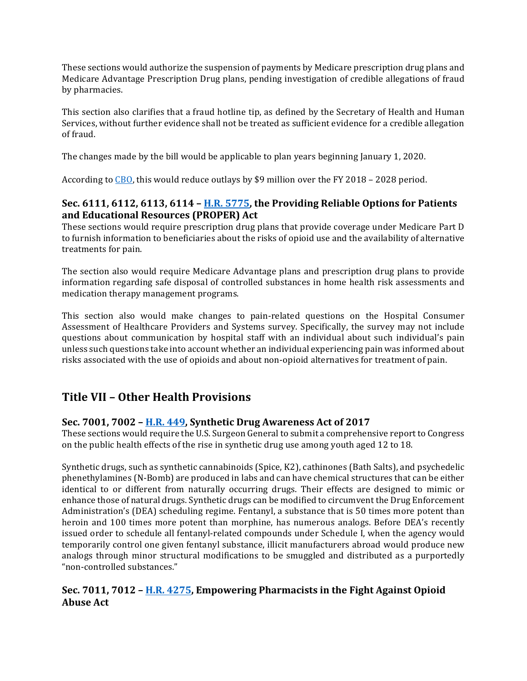These sections would authorize the suspension of payments by Medicare prescription drug plans and Medicare Advantage Prescription Drug plans, pending investigation of credible allegations of fraud by pharmacies.

This section also clarifies that a fraud hotline tip, as defined by the Secretary of Health and Human Services, without further evidence shall not be treated as sufficient evidence for a credible allegation of fraud.

The changes made by the bill would be applicable to plan years beginning January 1, 2020.

According to CBO, this would reduce outlays by \$9 million over the FY 2018 - 2028 period.

### **Sec.** 6111, 6112, 6113, 6114 - **H.R.** 5775, the Providing Reliable Options for Patients and Educational Resources (PROPER) Act

These sections would require prescription drug plans that provide coverage under Medicare Part D to furnish information to beneficiaries about the risks of opioid use and the availability of alternative treatments for pain.

The section also would require Medicare Advantage plans and prescription drug plans to provide information regarding safe disposal of controlled substances in home health risk assessments and medication therapy management programs.

This section also would make changes to pain-related questions on the Hospital Consumer Assessment of Healthcare Providers and Systems survey. Specifically, the survey may not include questions about communication by hospital staff with an individual about such individual's pain unless such questions take into account whether an individual experiencing pain was informed about risks associated with the use of opioids and about non-opioid alternatives for treatment of pain.

### **Title VII – Other Health Provisions**

### **Sec.** 7001, 7002 – **H.R.** 449, Synthetic Drug Awareness Act of 2017

These sections would require the U.S. Surgeon General to submit a comprehensive report to Congress on the public health effects of the rise in synthetic drug use among youth aged 12 to 18.

Synthetic drugs, such as synthetic cannabinoids (Spice, K2), cathinones (Bath Salts), and psychedelic phenethylamines (N-Bomb) are produced in labs and can have chemical structures that can be either identical to or different from naturally occurring drugs. Their effects are designed to mimic or enhance those of natural drugs. Synthetic drugs can be modified to circumvent the Drug Enforcement Administration's (DEA) scheduling regime. Fentanyl, a substance that is 50 times more potent than heroin and 100 times more potent than morphine, has numerous analogs. Before DEA's recently issued order to schedule all fentanyl-related compounds under Schedule I, when the agency would temporarily control one given fentanyl substance, illicit manufacturers abroad would produce new analogs through minor structural modifications to be smuggled and distributed as a purportedly "non-controlled substances."

### **Sec.** 7011, 7012 - **H.R. 4275, Empowering Pharmacists in the Fight Against Opioid Abuse Act**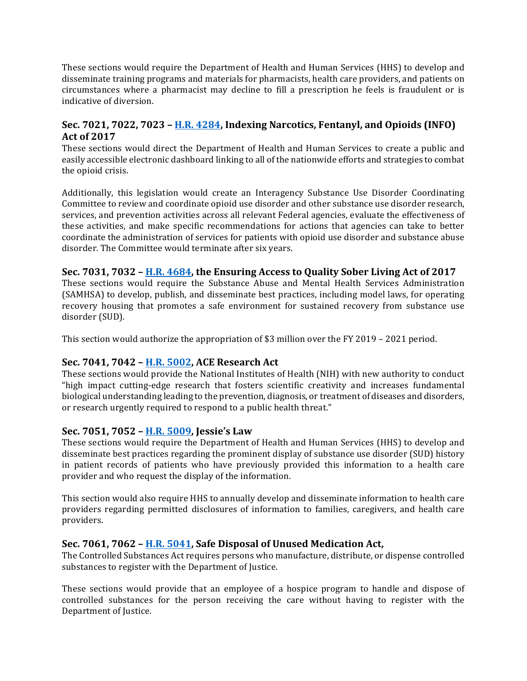These sections would require the Department of Health and Human Services (HHS) to develop and disseminate training programs and materials for pharmacists, health care providers, and patients on circumstances where a pharmacist may decline to fill a prescription he feels is fraudulent or is indicative of diversion.

### **Sec.** 7021, 7022, 7023 – H.R. 4284, Indexing Narcotics, Fentanyl, and Opioids (INFO) **Act of 2017**

These sections would direct the Department of Health and Human Services to create a public and easily accessible electronic dashboard linking to all of the nationwide efforts and strategies to combat the opioid crisis.

Additionally, this legislation would create an Interagency Substance Use Disorder Coordinating Committee to review and coordinate opioid use disorder and other substance use disorder research, services, and prevention activities across all relevant Federal agencies, evaluate the effectiveness of these activities, and make specific recommendations for actions that agencies can take to better coordinate the administration of services for patients with opioid use disorder and substance abuse disorder. The Committee would terminate after six years.

### Sec. 7031, 7032 – H.R. 4684, the Ensuring Access to Quality Sober Living Act of 2017

These sections would require the Substance Abuse and Mental Health Services Administration (SAMHSA) to develop, publish, and disseminate best practices, including model laws, for operating recovery housing that promotes a safe environment for sustained recovery from substance use disorder (SUD).

This section would authorize the appropriation of \$3 million over the FY 2019 – 2021 period.

### **Sec. 7041, 7042 – H.R. 5002, ACE Research Act**

These sections would provide the National Institutes of Health (NIH) with new authority to conduct "high impact cutting-edge research that fosters scientific creativity and increases fundamental biological understanding leading to the prevention, diagnosis, or treatment of diseases and disorders, or research urgently required to respond to a public health threat."

### **Sec. 7051, 7052 – H.R. 5009, Jessie's Law**

These sections would require the Department of Health and Human Services (HHS) to develop and disseminate best practices regarding the prominent display of substance use disorder (SUD) history in patient records of patients who have previously provided this information to a health care provider and who request the display of the information.

This section would also require HHS to annually develop and disseminate information to health care providers regarding permitted disclosures of information to families, caregivers, and health care providers.

### Sec. 7061, 7062 – H.R. 5041, Safe Disposal of Unused Medication Act,

The Controlled Substances Act requires persons who manufacture, distribute, or dispense controlled substances to register with the Department of Justice.

These sections would provide that an employee of a hospice program to handle and dispose of controlled substances for the person receiving the care without having to register with the Department of Justice.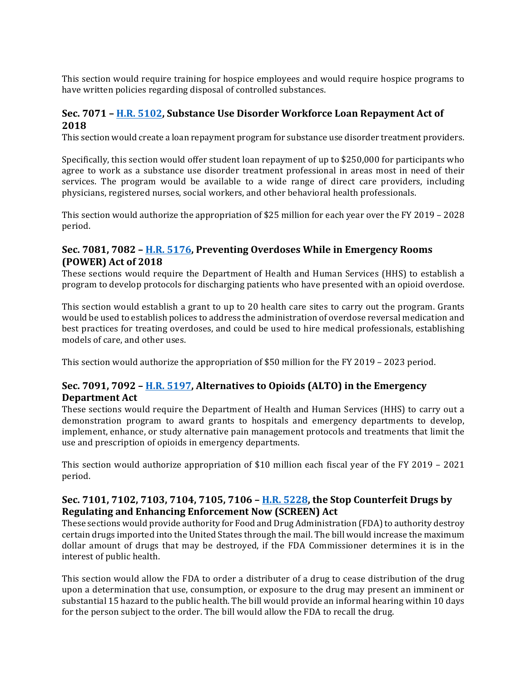This section would require training for hospice employees and would require hospice programs to have written policies regarding disposal of controlled substances.

### **Sec. 7071 - H.R. 5102, Substance Use Disorder Workforce Loan Repayment Act of 2018**

This section would create a loan repayment program for substance use disorder treatment providers.

Specifically, this section would offer student loan repayment of up to \$250,000 for participants who agree to work as a substance use disorder treatment professional in areas most in need of their services. The program would be available to a wide range of direct care providers, including physicians, registered nurses, social workers, and other behavioral health professionals.

This section would authorize the appropriation of \$25 million for each year over the FY 2019 – 2028 period.

### **Sec.** 7081, 7082 – **H.R. 5176, Preventing Overdoses While in Emergency Rooms (POWER) Act of 2018**

These sections would require the Department of Health and Human Services (HHS) to establish a program to develop protocols for discharging patients who have presented with an opioid overdose.

This section would establish a grant to up to 20 health care sites to carry out the program. Grants would be used to establish polices to address the administration of overdose reversal medication and best practices for treating overdoses, and could be used to hire medical professionals, establishing models of care, and other uses.

This section would authorize the appropriation of \$50 million for the FY 2019 – 2023 period.

### **Sec.** 7091, 7092 - **H.R. 5197, Alternatives to Opioids** (ALTO) in the Emergency **Department Act**

These sections would require the Department of Health and Human Services (HHS) to carry out a demonstration program to award grants to hospitals and emergency departments to develop, implement, enhance, or study alternative pain management protocols and treatments that limit the use and prescription of opioids in emergency departments.

This section would authorize appropriation of \$10 million each fiscal year of the FY 2019 – 2021 period.

### Sec. 7101, 7102, 7103, 7104, 7105, 7106 - **H.R. 5228**, the Stop Counterfeit Drugs by **Regulating and Enhancing Enforcement Now (SCREEN) Act**

These sections would provide authority for Food and Drug Administration (FDA) to authority destroy certain drugs imported into the United States through the mail. The bill would increase the maximum dollar amount of drugs that may be destroyed, if the FDA Commissioner determines it is in the interest of public health.

This section would allow the FDA to order a distributer of a drug to cease distribution of the drug upon a determination that use, consumption, or exposure to the drug may present an imminent or substantial 15 hazard to the public health. The bill would provide an informal hearing within 10 days for the person subject to the order. The bill would allow the FDA to recall the drug.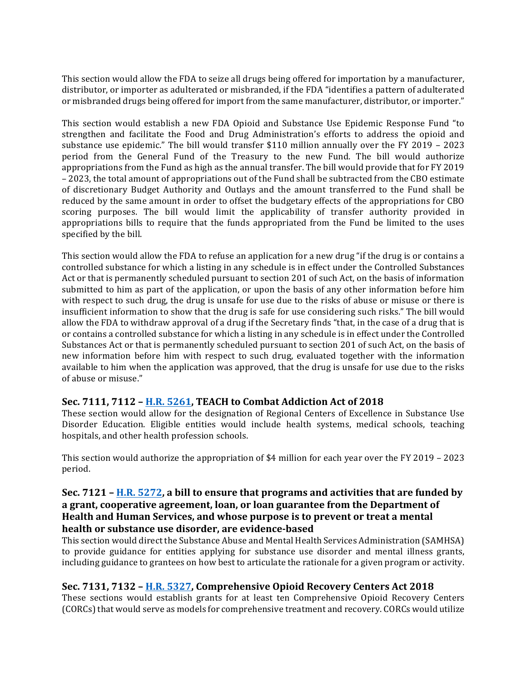This section would allow the FDA to seize all drugs being offered for importation by a manufacturer, distributor, or importer as adulterated or misbranded, if the FDA "identifies a pattern of adulterated or misbranded drugs being offered for import from the same manufacturer, distributor, or importer."

This section would establish a new FDA Opioid and Substance Use Epidemic Response Fund "to strengthen and facilitate the Food and Drug Administration's efforts to address the opioid and substance use epidemic." The bill would transfer \$110 million annually over the FY 2019 - 2023 period from the General Fund of the Treasury to the new Fund. The bill would authorize appropriations from the Fund as high as the annual transfer. The bill would provide that for FY 2019 – 2023, the total amount of appropriations out of the Fund shall be subtracted from the CBO estimate of discretionary Budget Authority and Outlays and the amount transferred to the Fund shall be reduced by the same amount in order to offset the budgetary effects of the appropriations for CBO scoring purposes. The bill would limit the applicability of transfer authority provided in appropriations bills to require that the funds appropriated from the Fund be limited to the uses specified by the bill.

This section would allow the FDA to refuse an application for a new drug "if the drug is or contains a controlled substance for which a listing in any schedule is in effect under the Controlled Substances Act or that is permanently scheduled pursuant to section 201 of such Act, on the basis of information submitted to him as part of the application, or upon the basis of any other information before him with respect to such drug, the drug is unsafe for use due to the risks of abuse or misuse or there is insufficient information to show that the drug is safe for use considering such risks." The bill would allow the FDA to withdraw approval of a drug if the Secretary finds "that, in the case of a drug that is or contains a controlled substance for which a listing in any schedule is in effect under the Controlled Substances Act or that is permanently scheduled pursuant to section 201 of such Act, on the basis of new information before him with respect to such drug, evaluated together with the information available to him when the application was approved, that the drug is unsafe for use due to the risks of abuse or misuse."

### **Sec. 7111, 7112 - H.R. 5261, TEACH to Combat Addiction Act of 2018**

These section would allow for the designation of Regional Centers of Excellence in Substance Use Disorder Education. Eligible entities would include health systems, medical schools, teaching hospitals, and other health profession schools.

This section would authorize the appropriation of \$4 million for each year over the FY 2019 – 2023 period.

### **Sec.** 7121 – **H.R.** 5272, a bill to ensure that programs and activities that are funded by a grant, cooperative agreement, loan, or loan guarantee from the Department of Health and Human Services, and whose purpose is to prevent or treat a mental health or substance use disorder, are evidence-based

This section would direct the Substance Abuse and Mental Health Services Administration (SAMHSA) to provide guidance for entities applying for substance use disorder and mental illness grants, including guidance to grantees on how best to articulate the rationale for a given program or activity.

### Sec. 7131, 7132 - H.R. 5327, Comprehensive Opioid Recovery Centers Act 2018

These sections would establish grants for at least ten Comprehensive Opioid Recovery Centers (CORCs) that would serve as models for comprehensive treatment and recovery. CORCs would utilize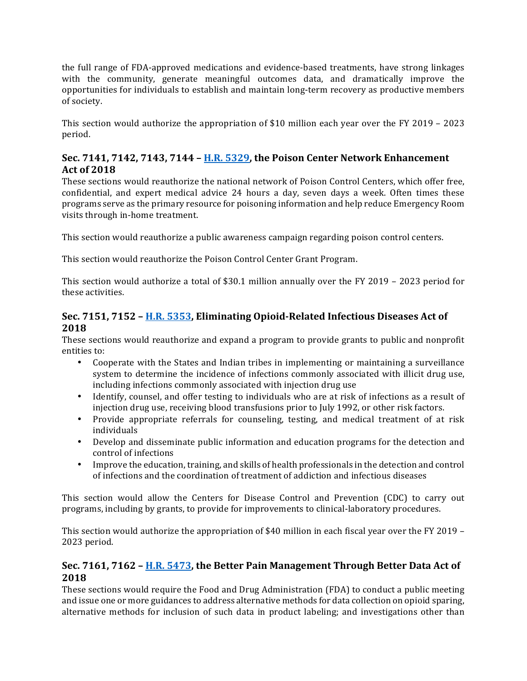the full range of FDA-approved medications and evidence-based treatments, have strong linkages with the community, generate meaningful outcomes data, and dramatically improve the opportunities for individuals to establish and maintain long-term recovery as productive members of society.

This section would authorize the appropriation of \$10 million each year over the FY 2019 - 2023 period.

### **Sec.** 7141, 7142, 7143, 7144 - H.R. 5329, the Poison Center Network Enhancement **Act of 2018**

These sections would reauthorize the national network of Poison Control Centers, which offer free, confidential, and expert medical advice 24 hours a day, seven days a week. Often times these programs serve as the primary resource for poisoning information and help reduce Emergency Room visits through in-home treatment.

This section would reauthorize a public awareness campaign regarding poison control centers.

This section would reauthorize the Poison Control Center Grant Program.

This section would authorize a total of \$30.1 million annually over the FY 2019 – 2023 period for these activities.

### Sec. 7151, 7152 - H.R. 5353, Eliminating Opioid-Related Infectious Diseases Act of **2018**

These sections would reauthorize and expand a program to provide grants to public and nonprofit entities to:

- Cooperate with the States and Indian tribes in implementing or maintaining a surveillance system to determine the incidence of infections commonly associated with illicit drug use, including infections commonly associated with injection drug use
- Identify, counsel, and offer testing to individuals who are at risk of infections as a result of injection drug use, receiving blood transfusions prior to July 1992, or other risk factors.
- Provide appropriate referrals for counseling, testing, and medical treatment of at risk individuals
- Develop and disseminate public information and education programs for the detection and control of infections
- Improve the education, training, and skills of health professionals in the detection and control of infections and the coordination of treatment of addiction and infectious diseases

This section would allow the Centers for Disease Control and Prevention (CDC) to carry out programs, including by grants, to provide for improvements to clinical-laboratory procedures.

This section would authorize the appropriation of \$40 million in each fiscal year over the FY 2019 – 2023 period.

### **Sec.** 7161, 7162 - **H.R. 5473**, the Better Pain Management Through Better Data Act of **2018**

These sections would require the Food and Drug Administration (FDA) to conduct a public meeting and issue one or more guidances to address alternative methods for data collection on opioid sparing, alternative methods for inclusion of such data in product labeling; and investigations other than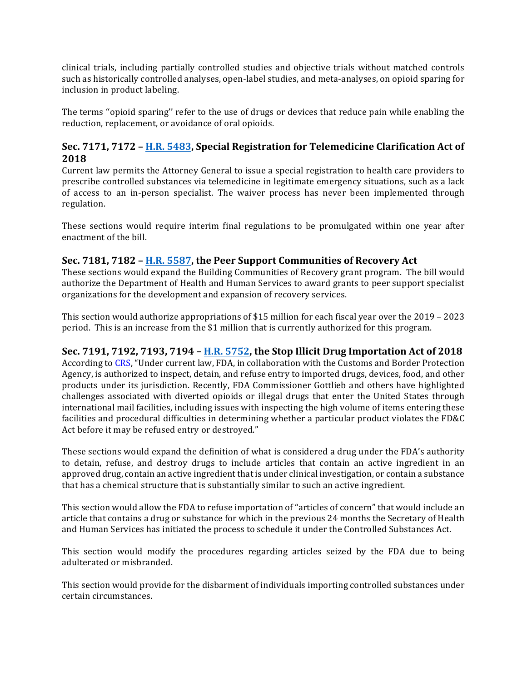clinical trials, including partially controlled studies and objective trials without matched controls such as historically controlled analyses, open-label studies, and meta-analyses, on opioid sparing for inclusion in product labeling.

The terms "opioid sparing" refer to the use of drugs or devices that reduce pain while enabling the reduction, replacement, or avoidance of oral opioids.

### **Sec.** 7171, 7172 – H.R. 5483, Special Registration for Telemedicine Clarification Act of **2018**

Current law permits the Attorney General to issue a special registration to health care providers to prescribe controlled substances via telemedicine in legitimate emergency situations, such as a lack of access to an in-person specialist. The waiver process has never been implemented through regulation.

These sections would require interim final regulations to be promulgated within one year after enactment of the hill.

### **Sec.** 7181, 7182 – H.R. 5587, the Peer Support Communities of Recovery Act

These sections would expand the Building Communities of Recovery grant program. The bill would authorize the Department of Health and Human Services to award grants to peer support specialist organizations for the development and expansion of recovery services.

This section would authorize appropriations of \$15 million for each fiscal year over the 2019 - 2023 period. This is an increase from the \$1 million that is currently authorized for this program.

### **Sec.** 7191, 7192, 7193, 7194 - H.R. 5752, the Stop Illicit Drug Importation Act of 2018

According to CRS, "Under current law, FDA, in collaboration with the Customs and Border Protection Agency, is authorized to inspect, detain, and refuse entry to imported drugs, devices, food, and other products under its jurisdiction. Recently, FDA Commissioner Gottlieb and others have highlighted challenges associated with diverted opioids or illegal drugs that enter the United States through international mail facilities, including issues with inspecting the high volume of items entering these facilities and procedural difficulties in determining whether a particular product violates the FD&C Act before it may be refused entry or destroyed."

These sections would expand the definition of what is considered a drug under the FDA's authority to detain, refuse, and destroy drugs to include articles that contain an active ingredient in an approved drug, contain an active ingredient that is under clinical investigation, or contain a substance that has a chemical structure that is substantially similar to such an active ingredient.

This section would allow the FDA to refuse importation of "articles of concern" that would include an article that contains a drug or substance for which in the previous 24 months the Secretary of Health and Human Services has initiated the process to schedule it under the Controlled Substances Act.

This section would modify the procedures regarding articles seized by the FDA due to being adulterated or misbranded.

This section would provide for the disbarment of individuals importing controlled substances under certain circumstances.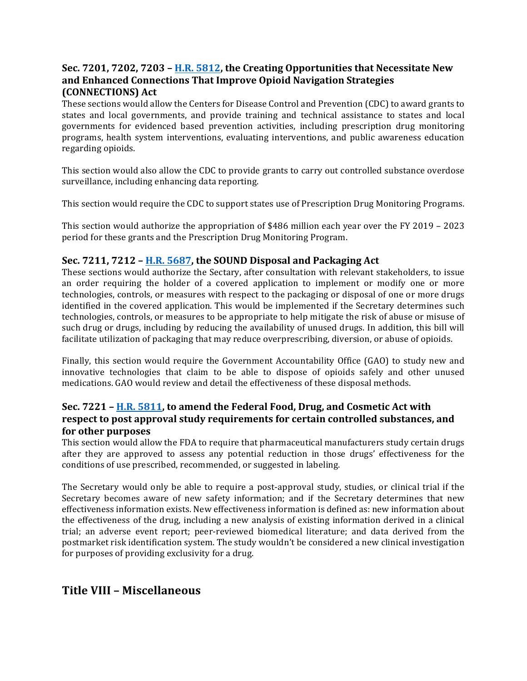### **Sec.** 7201, 7202, 7203 – H.R. 5812, the Creating Opportunities that Necessitate New and Enhanced Connections That Improve Opioid Navigation Strategies **(CONNECTIONS) Act**

These sections would allow the Centers for Disease Control and Prevention (CDC) to award grants to states and local governments, and provide training and technical assistance to states and local governments for evidenced based prevention activities, including prescription drug monitoring programs, health system interventions, evaluating interventions, and public awareness education regarding opioids.

This section would also allow the CDC to provide grants to carry out controlled substance overdose surveillance, including enhancing data reporting.

This section would require the CDC to support states use of Prescription Drug Monitoring Programs.

This section would authorize the appropriation of \$486 million each year over the FY 2019 - 2023 period for these grants and the Prescription Drug Monitoring Program.

### **Sec.** 7211, 7212 – H.R. 5687, the SOUND Disposal and Packaging Act

These sections would authorize the Sectary, after consultation with relevant stakeholders, to issue an order requiring the holder of a covered application to implement or modify one or more technologies, controls, or measures with respect to the packaging or disposal of one or more drugs identified in the covered application. This would be implemented if the Secretary determines such technologies, controls, or measures to be appropriate to help mitigate the risk of abuse or misuse of such drug or drugs, including by reducing the availability of unused drugs. In addition, this bill will facilitate utilization of packaging that may reduce overprescribing, diversion, or abuse of opioids.

Finally, this section would require the Government Accountability Office (GAO) to study new and innovative technologies that claim to be able to dispose of opioids safely and other unused medications. GAO would review and detail the effectiveness of these disposal methods.

### **Sec.** 7221 – **H.R.** 5811, to amend the Federal Food, Drug, and Cosmetic Act with **respect to post approval study requirements for certain controlled substances, and for other purposes**

This section would allow the FDA to require that pharmaceutical manufacturers study certain drugs after they are approved to assess any potential reduction in those drugs' effectiveness for the conditions of use prescribed, recommended, or suggested in labeling.

The Secretary would only be able to require a post-approval study, studies, or clinical trial if the Secretary becomes aware of new safety information; and if the Secretary determines that new effectiveness information exists. New effectiveness information is defined as: new information about the effectiveness of the drug, including a new analysis of existing information derived in a clinical trial; an adverse event report; peer-reviewed biomedical literature; and data derived from the postmarket risk identification system. The study wouldn't be considered a new clinical investigation for purposes of providing exclusivity for a drug.

### **Title VIII – Miscellaneous**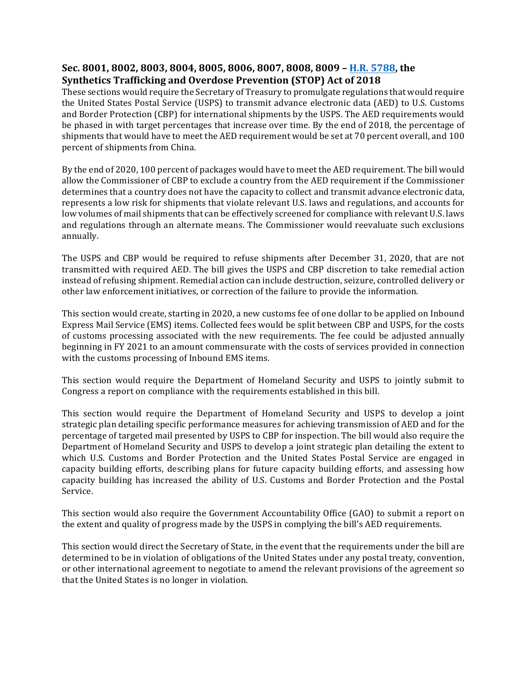### Sec. 8001, 8002, 8003, 8004, 8005, 8006, 8007, 8008, 8009 - H.R. 5788, the **Synthetics Trafficking and Overdose Prevention (STOP) Act of 2018**

These sections would require the Secretary of Treasury to promulgate regulations that would require the United States Postal Service (USPS) to transmit advance electronic data (AED) to U.S. Customs and Border Protection (CBP) for international shipments by the USPS. The AED requirements would be phased in with target percentages that increase over time. By the end of 2018, the percentage of shipments that would have to meet the AED requirement would be set at 70 percent overall, and 100 percent of shipments from China.

By the end of 2020, 100 percent of packages would have to meet the AED requirement. The bill would allow the Commissioner of CBP to exclude a country from the AED requirement if the Commissioner determines that a country does not have the capacity to collect and transmit advance electronic data, represents a low risk for shipments that violate relevant U.S. laws and regulations, and accounts for low volumes of mail shipments that can be effectively screened for compliance with relevant U.S. laws and regulations through an alternate means. The Commissioner would reevaluate such exclusions annually. 

The USPS and CBP would be required to refuse shipments after December 31, 2020, that are not transmitted with required AED. The bill gives the USPS and CBP discretion to take remedial action instead of refusing shipment. Remedial action can include destruction, seizure, controlled delivery or other law enforcement initiatives, or correction of the failure to provide the information.

This section would create, starting in 2020, a new customs fee of one dollar to be applied on Inbound Express Mail Service (EMS) items. Collected fees would be split between CBP and USPS, for the costs of customs processing associated with the new requirements. The fee could be adjusted annually beginning in FY 2021 to an amount commensurate with the costs of services provided in connection with the customs processing of Inbound EMS items.

This section would require the Department of Homeland Security and USPS to jointly submit to Congress a report on compliance with the requirements established in this bill.

This section would require the Department of Homeland Security and USPS to develop a joint strategic plan detailing specific performance measures for achieving transmission of AED and for the percentage of targeted mail presented by USPS to CBP for inspection. The bill would also require the Department of Homeland Security and USPS to develop a joint strategic plan detailing the extent to which U.S. Customs and Border Protection and the United States Postal Service are engaged in capacity building efforts, describing plans for future capacity building efforts, and assessing how capacity building has increased the ability of U.S. Customs and Border Protection and the Postal Service. 

This section would also require the Government Accountability Office (GAO) to submit a report on the extent and quality of progress made by the USPS in complying the bill's AED requirements.

This section would direct the Secretary of State, in the event that the requirements under the bill are determined to be in violation of obligations of the United States under any postal treaty, convention, or other international agreement to negotiate to amend the relevant provisions of the agreement so that the United States is no longer in violation.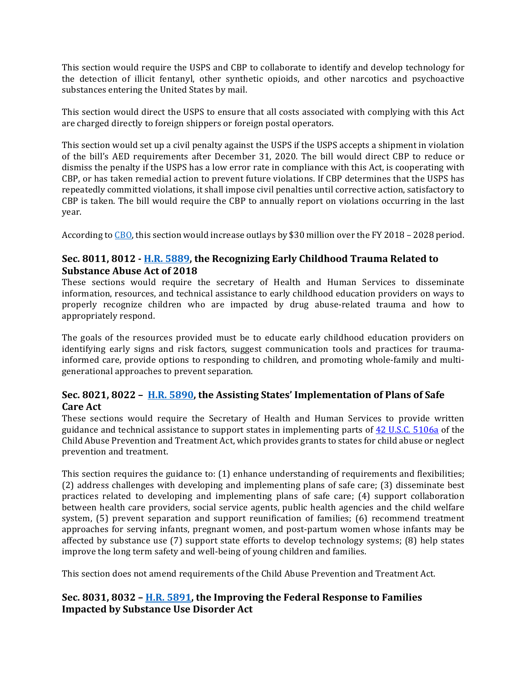This section would require the USPS and CBP to collaborate to identify and develop technology for the detection of illicit fentanyl, other synthetic opioids, and other narcotics and psychoactive substances entering the United States by mail.

This section would direct the USPS to ensure that all costs associated with complying with this Act are charged directly to foreign shippers or foreign postal operators.

This section would set up a civil penalty against the USPS if the USPS accepts a shipment in violation of the bill's AED requirements after December 31, 2020. The bill would direct CBP to reduce or dismiss the penalty if the USPS has a low error rate in compliance with this Act, is cooperating with CBP, or has taken remedial action to prevent future violations. If CBP determines that the USPS has repeatedly committed violations, it shall impose civil penalties until corrective action, satisfactory to CBP is taken. The bill would require the CBP to annually report on violations occurring in the last year. 

According to  $\overline{CBO}$ , this section would increase outlays by \$30 million over the FY 2018 – 2028 period.

### **Sec.** 8011, 8012 - **H.R.** 5889, the Recognizing Early Childhood Trauma Related to **Substance Abuse Act of 2018**

These sections would require the secretary of Health and Human Services to disseminate information, resources, and technical assistance to early childhood education providers on ways to properly recognize children who are impacted by drug abuse-related trauma and how to appropriately respond.

The goals of the resources provided must be to educate early childhood education providers on identifying early signs and risk factors, suggest communication tools and practices for traumainformed care, provide options to responding to children, and promoting whole-family and multigenerational approaches to prevent separation.

### Sec. 8021, 8022 - H.R. 5890, the Assisting States' Implementation of Plans of Safe **Care Act**

These sections would require the Secretary of Health and Human Services to provide written guidance and technical assistance to support states in implementing parts of  $42$  U.S.C. 5106a of the Child Abuse Prevention and Treatment Act, which provides grants to states for child abuse or neglect prevention and treatment.

This section requires the guidance to:  $(1)$  enhance understanding of requirements and flexibilities; (2) address challenges with developing and implementing plans of safe care; (3) disseminate best practices related to developing and implementing plans of safe care; (4) support collaboration between health care providers, social service agents, public health agencies and the child welfare system,  $(5)$  prevent separation and support reunification of families;  $(6)$  recommend treatment approaches for serving infants, pregnant women, and post-partum women whose infants may be affected by substance use  $(7)$  support state efforts to develop technology systems;  $(8)$  help states improve the long term safety and well-being of young children and families.

This section does not amend requirements of the Child Abuse Prevention and Treatment Act.

### Sec. 8031, 8032 – **H.R. 5891**, the Improving the Federal Response to Families **Impacted by Substance Use Disorder Act**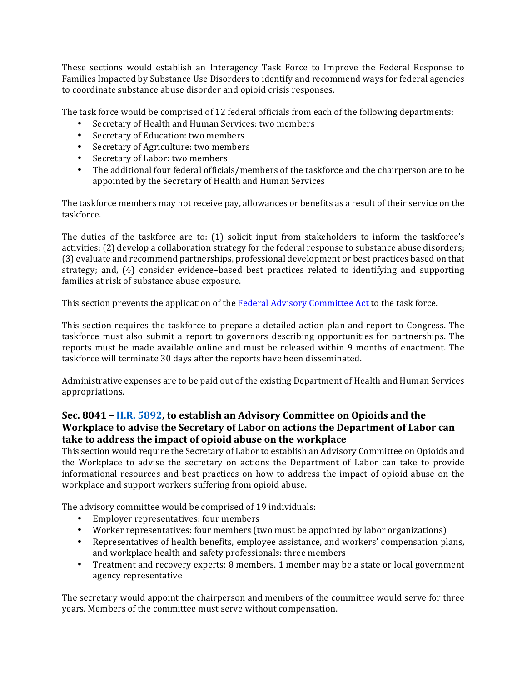These sections would establish an Interagency Task Force to Improve the Federal Response to Families Impacted by Substance Use Disorders to identify and recommend ways for federal agencies to coordinate substance abuse disorder and opioid crisis responses.

The task force would be comprised of 12 federal officials from each of the following departments:

- Secretary of Health and Human Services: two members
- Secretary of Education: two members
- Secretary of Agriculture: two members
- Secretary of Labor: two members
- The additional four federal officials/members of the taskforce and the chairperson are to be appointed by the Secretary of Health and Human Services

The taskforce members may not receive pay, allowances or benefits as a result of their service on the taskforce.

The duties of the taskforce are to:  $(1)$  solicit input from stakeholders to inform the taskforce's activities; (2) develop a collaboration strategy for the federal response to substance abuse disorders; (3) evaluate and recommend partnerships, professional development or best practices based on that strategy; and, (4) consider evidence-based best practices related to identifying and supporting families at risk of substance abuse exposure.

This section prevents the application of the Federal Advisory Committee Act to the task force.

This section requires the taskforce to prepare a detailed action plan and report to Congress. The taskforce must also submit a report to governors describing opportunities for partnerships. The reports must be made available online and must be released within 9 months of enactment. The taskforce will terminate 30 days after the reports have been disseminated.

Administrative expenses are to be paid out of the existing Department of Health and Human Services appropriations. 

### **Sec.** 8041 - **H.R.** 5892, to establish an Advisory Committee on Opioids and the **Workplace to advise the Secretary of Labor on actions the Department of Labor can** take to address the impact of opioid abuse on the workplace

This section would require the Secretary of Labor to establish an Advisory Committee on Opioids and the Workplace to advise the secretary on actions the Department of Labor can take to provide informational resources and best practices on how to address the impact of opioid abuse on the workplace and support workers suffering from opioid abuse.

The advisory committee would be comprised of 19 individuals:

- Employer representatives: four members
- Worker representatives: four members (two must be appointed by labor organizations)
- Representatives of health benefits, employee assistance, and workers' compensation plans, and workplace health and safety professionals: three members
- Treatment and recovery experts: 8 members. 1 member may be a state or local government agency representative

The secretary would appoint the chairperson and members of the committee would serve for three years. Members of the committee must serve without compensation.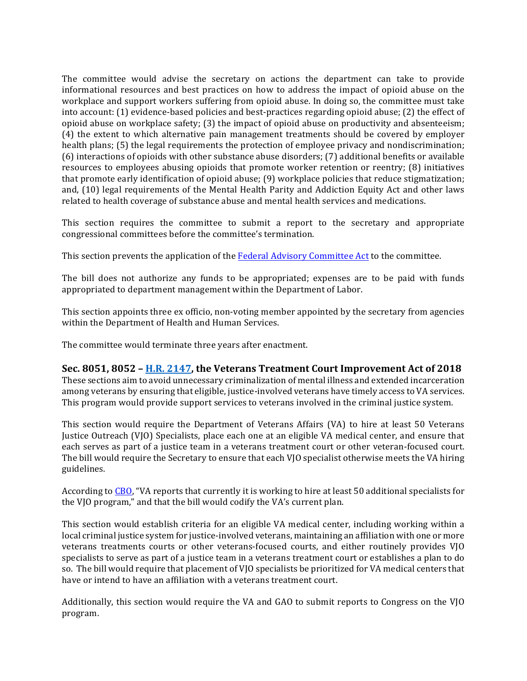The committee would advise the secretary on actions the department can take to provide informational resources and best practices on how to address the impact of opioid abuse on the workplace and support workers suffering from opioid abuse. In doing so, the committee must take into account: (1) evidence-based policies and best-practices regarding opioid abuse; (2) the effect of opioid abuse on workplace safety; (3) the impact of opioid abuse on productivity and absenteeism; (4) the extent to which alternative pain management treatments should be covered by employer health plans; (5) the legal requirements the protection of employee privacy and nondiscrimination;  $(6)$  interactions of opioids with other substance abuse disorders;  $(7)$  additional benefits or available resources to employees abusing opioids that promote worker retention or reentry; (8) initiatives that promote early identification of opioid abuse;  $(9)$  workplace policies that reduce stigmatization; and, (10) legal requirements of the Mental Health Parity and Addiction Equity Act and other laws related to health coverage of substance abuse and mental health services and medications.

This section requires the committee to submit a report to the secretary and appropriate congressional committees before the committee's termination.

This section prevents the application of the Federal Advisory Committee Act to the committee.

The bill does not authorize any funds to be appropriated; expenses are to be paid with funds appropriated to department management within the Department of Labor.

This section appoints three ex officio, non-voting member appointed by the secretary from agencies within the Department of Health and Human Services.

The committee would terminate three years after enactment.

### Sec. 8051, 8052 – H.R. 2147, the Veterans Treatment Court Improvement Act of 2018

These sections aim to avoid unnecessary criminalization of mental illness and extended incarceration among veterans by ensuring that eligible, justice-involved veterans have timely access to VA services. This program would provide support services to veterans involved in the criminal justice system.

This section would require the Department of Veterans Affairs (VA) to hire at least 50 Veterans Justice Outreach (VJO) Specialists, place each one at an eligible VA medical center, and ensure that each serves as part of a justice team in a veterans treatment court or other veteran-focused court. The bill would require the Secretary to ensure that each VJO specialist otherwise meets the VA hiring guidelines. 

According to CBO, "VA reports that currently it is working to hire at least 50 additional specialists for the VIO program," and that the bill would codify the VA's current plan.

This section would establish criteria for an eligible VA medical center, including working within a local criminal justice system for justice-involved veterans, maintaining an affiliation with one or more veterans treatments courts or other veterans-focused courts, and either routinely provides VJO specialists to serve as part of a justice team in a veterans treatment court or establishes a plan to do so. The bill would require that placement of VJO specialists be prioritized for VA medical centers that have or intend to have an affiliation with a veterans treatment court.

Additionally, this section would require the VA and GAO to submit reports to Congress on the VJO program.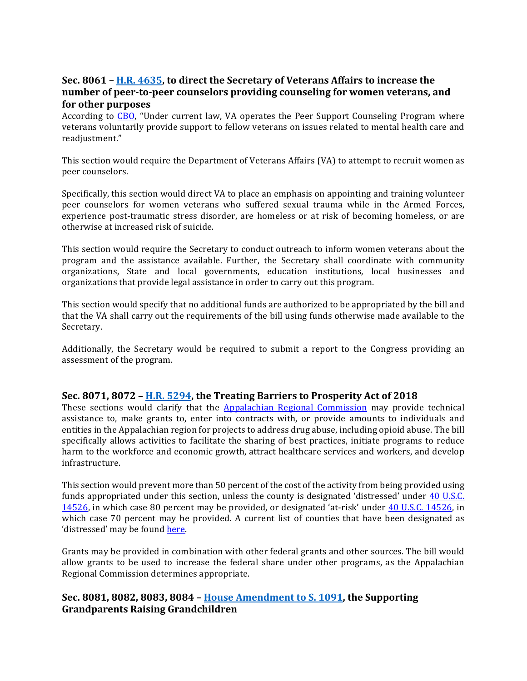### **Sec.** 8061 – H.R. 4635, to direct the Secretary of Veterans Affairs to increase the number of peer-to-peer counselors providing counseling for women veterans, and **for other purposes**

According to CBO, "Under current law, VA operates the Peer Support Counseling Program where veterans voluntarily provide support to fellow veterans on issues related to mental health care and readjustment." 

This section would require the Department of Veterans Affairs (VA) to attempt to recruit women as peer counselors.

Specifically, this section would direct VA to place an emphasis on appointing and training volunteer peer counselors for women veterans who suffered sexual trauma while in the Armed Forces, experience post-traumatic stress disorder, are homeless or at risk of becoming homeless, or are otherwise at increased risk of suicide.

This section would require the Secretary to conduct outreach to inform women veterans about the program and the assistance available. Further, the Secretary shall coordinate with community organizations, State and local governments, education institutions, local businesses and organizations that provide legal assistance in order to carry out this program.

This section would specify that no additional funds are authorized to be appropriated by the bill and that the VA shall carry out the requirements of the bill using funds otherwise made available to the Secretary. 

Additionally, the Secretary would be required to submit a report to the Congress providing an assessment of the program.

### **Sec.** 8071, 8072 – H.R. 5294, the Treating Barriers to Prosperity Act of 2018

These sections would clarify that the **Appalachian Regional Commission** may provide technical assistance to, make grants to, enter into contracts with, or provide amounts to individuals and entities in the Appalachian region for projects to address drug abuse, including opioid abuse. The bill specifically allows activities to facilitate the sharing of best practices, initiate programs to reduce harm to the workforce and economic growth, attract healthcare services and workers, and develop infrastructure.

This section would prevent more than 50 percent of the cost of the activity from being provided using funds appropriated under this section, unless the county is designated 'distressed' under 40 U.S.C. 14526, in which case 80 percent may be provided, or designated 'at-risk' under 40 U.S.C. 14526, in which case 70 percent may be provided. A current list of counties that have been designated as 'distressed' may be found here.

Grants may be provided in combination with other federal grants and other sources. The bill would allow grants to be used to increase the federal share under other programs, as the Appalachian Regional Commission determines appropriate. 

### **Sec.** 8081, 8082, 8083, 8084 - House Amendment to S. 1091, the Supporting **Grandparents Raising Grandchildren**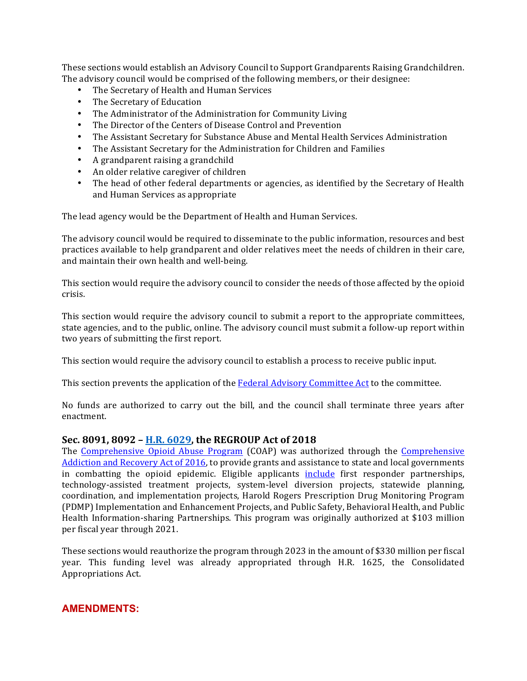These sections would establish an Advisory Council to Support Grandparents Raising Grandchildren. The advisory council would be comprised of the following members, or their designee:

- The Secretary of Health and Human Services
- The Secretary of Education
- The Administrator of the Administration for Community Living
- The Director of the Centers of Disease Control and Prevention
- The Assistant Secretary for Substance Abuse and Mental Health Services Administration
- The Assistant Secretary for the Administration for Children and Families
- A grandparent raising a grandchild
- An older relative caregiver of children
- The head of other federal departments or agencies, as identified by the Secretary of Health and Human Services as appropriate

The lead agency would be the Department of Health and Human Services.

The advisory council would be required to disseminate to the public information, resources and best practices available to help grandparent and older relatives meet the needs of children in their care, and maintain their own health and well-being.

This section would require the advisory council to consider the needs of those affected by the opioid crisis.

This section would require the advisory council to submit a report to the appropriate committees, state agencies, and to the public, online. The advisory council must submit a follow-up report within two years of submitting the first report.

This section would require the advisory council to establish a process to receive public input.

This section prevents the application of the Federal Advisory Committee Act to the committee.

No funds are authorized to carry out the bill, and the council shall terminate three years after enactment. 

#### Sec. 8091, 8092 - **H.R. 6029**, the REGROUP Act of 2018

The Comprehensive Opioid Abuse Program (COAP) was authorized through the Comprehensive Addiction and Recovery Act of 2016, to provide grants and assistance to state and local governments in combatting the opioid epidemic. Eligible applicants *include* first responder partnerships, technology-assisted treatment projects, system-level diversion projects, statewide planning, coordination, and implementation projects, Harold Rogers Prescription Drug Monitoring Program (PDMP) Implementation and Enhancement Projects, and Public Safety, Behavioral Health, and Public Health Information-sharing Partnerships. This program was originally authorized at \$103 million per fiscal year through 2021.

These sections would reauthorize the program through 2023 in the amount of \$330 million per fiscal year. This funding level was already appropriated through H.R. 1625, the Consolidated Appropriations Act.

### **AMENDMENTS:**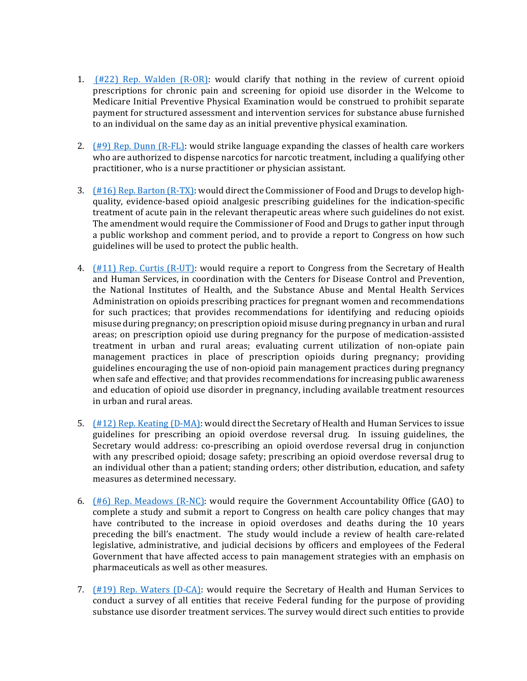- 1.  $(H22)$  Rep. Walden  $(R-OR)$ : would clarify that nothing in the review of current opioid prescriptions for chronic pain and screening for opioid use disorder in the Welcome to Medicare Initial Preventive Physical Examination would be construed to prohibit separate payment for structured assessment and intervention services for substance abuse furnished to an individual on the same day as an initial preventive physical examination.
- 2.  $(\#9)$  Rep. Dunn  $(R-FL)$ : would strike language expanding the classes of health care workers who are authorized to dispense narcotics for narcotic treatment, including a qualifying other practitioner, who is a nurse practitioner or physician assistant.
- 3.  $(\#16)$  Rep. Barton  $(R-TX)$ : would direct the Commissioner of Food and Drugs to develop highquality, evidence-based opioid analgesic prescribing guidelines for the indication-specific treatment of acute pain in the relevant therapeutic areas where such guidelines do not exist. The amendment would require the Commissioner of Food and Drugs to gather input through a public workshop and comment period, and to provide a report to Congress on how such guidelines will be used to protect the public health.
- 4.  $(H11)$  Rep. Curtis  $(R-UT)$ : would require a report to Congress from the Secretary of Health and Human Services, in coordination with the Centers for Disease Control and Prevention, the National Institutes of Health, and the Substance Abuse and Mental Health Services Administration on opioids prescribing practices for pregnant women and recommendations for such practices; that provides recommendations for identifying and reducing opioids misuse during pregnancy; on prescription opioid misuse during pregnancy in urban and rural areas; on prescription opioid use during pregnancy for the purpose of medication-assisted treatment in urban and rural areas; evaluating current utilization of non-opiate pain management practices in place of prescription opioids during pregnancy; providing guidelines encouraging the use of non-opioid pain management practices during pregnancy when safe and effective; and that provides recommendations for increasing public awareness and education of opioid use disorder in pregnancy, including available treatment resources in urban and rural areas.
- 5.  $(H12)$  Rep. Keating  $(D-MA)$ : would direct the Secretary of Health and Human Services to issue guidelines for prescribing an opioid overdose reversal drug. In issuing guidelines, the Secretary would address: co-prescribing an opioid overdose reversal drug in conjunction with any prescribed opioid; dosage safety; prescribing an opioid overdose reversal drug to an individual other than a patient; standing orders; other distribution, education, and safety measures as determined necessary.
- 6.  $(\#6)$  Rep. Meadows  $(R-NC)$ : would require the Government Accountability Office (GAO) to complete a study and submit a report to Congress on health care policy changes that may have contributed to the increase in opioid overdoses and deaths during the 10 years preceding the bill's enactment. The study would include a review of health care-related legislative, administrative, and judicial decisions by officers and employees of the Federal Government that have affected access to pain management strategies with an emphasis on pharmaceuticals as well as other measures.
- 7.  $(\#19)$  Rep. Waters (D-CA): would require the Secretary of Health and Human Services to conduct a survey of all entities that receive Federal funding for the purpose of providing substance use disorder treatment services. The survey would direct such entities to provide